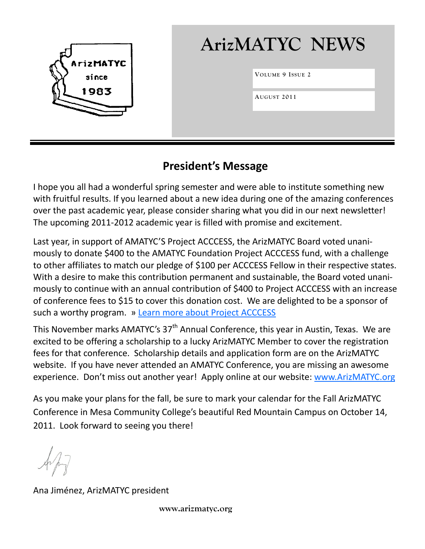

# **ArizMATYC NEWS**

**VOLUME 9 I SSUE 2**

**AUGUST 2011**

# **President's Message**

I hope you all had a wonderful spring semester and were able to institute something new with fruitful results. If you learned about a new idea during one of the amazing conferences over the past academic year, please consider sharing what you did in our next newsletter! The upcoming 2011-2012 academic year is filled with promise and excitement.

Last year, in support of AMATYC'S Project ACCCESS, the ArizMATYC Board voted unanimously to donate \$400 to the AMATYC Foundation Project ACCCESS fund, with a challenge to other affiliates to match our pledge of \$100 per ACCCESS Fellow in their respective states. With a desire to make this contribution permanent and sustainable, the Board voted unanimously to continue with an annual contribution of \$400 to Project ACCCESS with an increase of conference fees to \$15 to cover this donation cost. We are delighted to be a sponsor of such a worthy program. » [Learn more about Project ACCCESS](http://www.acccess.amatyc.org/)

This November marks AMATYC's 37<sup>th</sup> Annual Conference, this year in Austin, Texas. We are excited to be offering a scholarship to a lucky ArizMATYC Member to cover the registration fees for that conference. Scholarship details and application form are on the ArizMATYC website. If you have never attended an AMATYC Conference, you are missing an awesome experience. Don't miss out another year! Apply online at our website: [www.ArizMATYC.org](http://www.ArizMATYC.org)

As you make your plans for the fall, be sure to mark your calendar for the Fall ArizMATYC Conference in Mesa Community College's beautiful Red Mountain Campus on October 14, 2011. Look forward to seeing you there!

Ana Jiménez, ArizMATYC president

 **www.arizmatyc.org**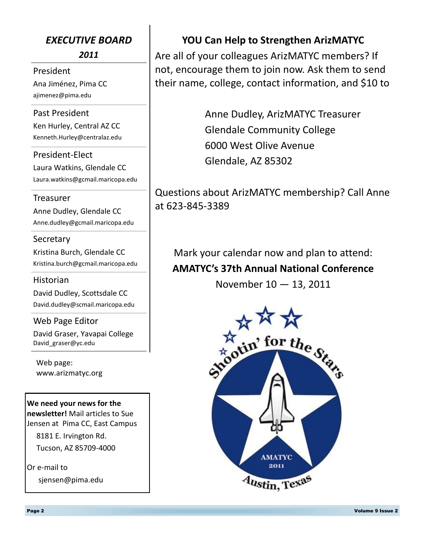## *EXECUTIVE BOARD*

*2011*

President Ana Jiménez, Pima CC ajimenez@pima.edu

Past President Ken Hurley, Central AZ CC Kenneth.Hurley@centralaz.edu

President-Elect Laura Watkins, Glendale CC Laura.watkins@gcmail.maricopa.edu

#### Treasurer

Anne Dudley, Glendale CC Anne.dudley@gcmail.maricopa.edu

#### **Secretary**

Kristina Burch, Glendale CC Kristina.burch@gcmail.maricopa.edu

#### Historian

David Dudley, Scottsdale CC David.dudley@scmail.maricopa.edu

Web Page Editor

David Graser, Yavapai College David\_graser@yc.edu

Web page: www.arizmatyc.org

**We need your news for the newsletter!** Mail articles to Sue Jensen at Pima CC, East Campus

 8181 E. Irvington Rd. Tucson, AZ 85709-4000

Or e-mail to sjensen@pima.edu

## **YOU Can Help to Strengthen ArizMATYC**

Are all of your colleagues ArizMATYC members? If not, encourage them to join now. Ask them to send their name, college, contact information, and \$10 to

> Anne Dudley, ArizMATYC Treasurer Glendale Community College 6000 West Olive Avenue Glendale, AZ 85302

Questions about ArizMATYC membership? Call Anne at 623-845-3389

Mark your calendar now and plan to attend: **AMATYC's 37th Annual National Conference** November 10 — 13, 2011

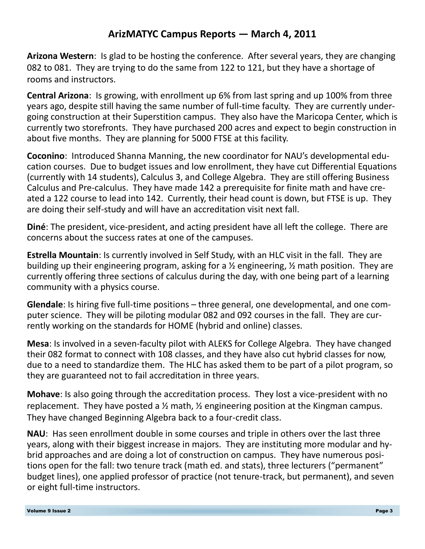# **ArizMATYC Campus Reports — March 4, 2011**

**Arizona Western**: Is glad to be hosting the conference. After several years, they are changing 082 to 081. They are trying to do the same from 122 to 121, but they have a shortage of rooms and instructors.

**Central Arizona**: Is growing, with enrollment up 6% from last spring and up 100% from three years ago, despite still having the same number of full-time faculty. They are currently undergoing construction at their Superstition campus. They also have the Maricopa Center, which is currently two storefronts. They have purchased 200 acres and expect to begin construction in about five months. They are planning for 5000 FTSE at this facility.

**Coconino**: Introduced Shanna Manning, the new coordinator for NAU's developmental education courses. Due to budget issues and low enrollment, they have cut Differential Equations (currently with 14 students), Calculus 3, and College Algebra. They are still offering Business Calculus and Pre-calculus. They have made 142 a prerequisite for finite math and have created a 122 course to lead into 142. Currently, their head count is down, but FTSE is up. They are doing their self-study and will have an accreditation visit next fall.

**Diné**: The president, vice-president, and acting president have all left the college. There are concerns about the success rates at one of the campuses.

**Estrella Mountain**: Is currently involved in Self Study, with an HLC visit in the fall. They are building up their engineering program, asking for a ½ engineering, ½ math position. They are currently offering three sections of calculus during the day, with one being part of a learning community with a physics course.

**Glendale**: Is hiring five full-time positions – three general, one developmental, and one computer science. They will be piloting modular 082 and 092 courses in the fall. They are currently working on the standards for HOME (hybrid and online) classes.

**Mesa**: Is involved in a seven-faculty pilot with ALEKS for College Algebra. They have changed their 082 format to connect with 108 classes, and they have also cut hybrid classes for now, due to a need to standardize them. The HLC has asked them to be part of a pilot program, so they are guaranteed not to fail accreditation in three years.

**Mohave**: Is also going through the accreditation process. They lost a vice-president with no replacement. They have posted a  $\frac{1}{2}$  math,  $\frac{1}{2}$  engineering position at the Kingman campus. They have changed Beginning Algebra back to a four-credit class.

**NAU**: Has seen enrollment double in some courses and triple in others over the last three years, along with their biggest increase in majors. They are instituting more modular and hybrid approaches and are doing a lot of construction on campus. They have numerous positions open for the fall: two tenure track (math ed. and stats), three lecturers ("permanent" budget lines), one applied professor of practice (not tenure-track, but permanent), and seven or eight full-time instructors.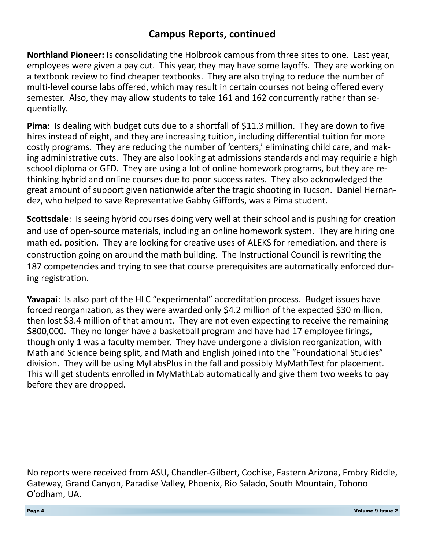## **Campus Reports, continued**

**Northland Pioneer:** Is consolidating the Holbrook campus from three sites to one. Last year, employees were given a pay cut. This year, they may have some layoffs. They are working on a textbook review to find cheaper textbooks. They are also trying to reduce the number of multi-level course labs offered, which may result in certain courses not being offered every semester. Also, they may allow students to take 161 and 162 concurrently rather than sequentially.

**Pima**: Is dealing with budget cuts due to a shortfall of \$11.3 million. They are down to five hires instead of eight, and they are increasing tuition, including differential tuition for more costly programs. They are reducing the number of 'centers,' eliminating child care, and making administrative cuts. They are also looking at admissions standards and may requirie a high school diploma or GED. They are using a lot of online homework programs, but they are rethinking hybrid and online courses due to poor success rates. They also acknowledged the great amount of support given nationwide after the tragic shooting in Tucson. Daniel Hernandez, who helped to save Representative Gabby Giffords, was a Pima student.

**Scottsdale**: Is seeing hybrid courses doing very well at their school and is pushing for creation and use of open-source materials, including an online homework system. They are hiring one math ed. position. They are looking for creative uses of ALEKS for remediation, and there is construction going on around the math building. The Instructional Council is rewriting the 187 competencies and trying to see that course prerequisites are automatically enforced during registration.

**Yavapai**: Is also part of the HLC "experimental" accreditation process. Budget issues have forced reorganization, as they were awarded only \$4.2 million of the expected \$30 million, then lost \$3.4 million of that amount. They are not even expecting to receive the remaining \$800,000. They no longer have a basketball program and have had 17 employee firings, though only 1 was a faculty member. They have undergone a division reorganization, with Math and Science being split, and Math and English joined into the "Foundational Studies" division. They will be using MyLabsPlus in the fall and possibly MyMathTest for placement. This will get students enrolled in MyMathLab automatically and give them two weeks to pay before they are dropped.

No reports were received from ASU, Chandler-Gilbert, Cochise, Eastern Arizona, Embry Riddle, Gateway, Grand Canyon, Paradise Valley, Phoenix, Rio Salado, South Mountain, Tohono O'odham, UA.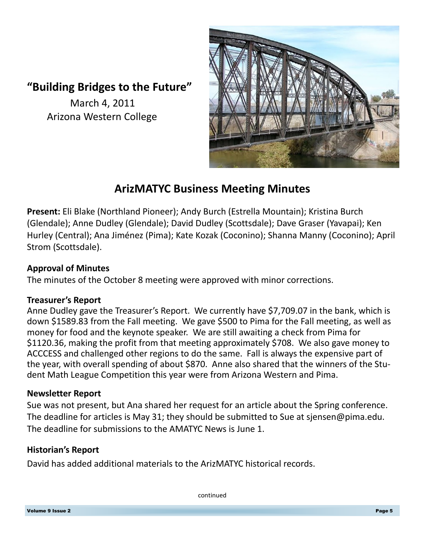# **"Building Bridges to the Future"**

 March 4, 2011 Arizona Western College



# **ArizMATYC Business Meeting Minutes**

**Present:** Eli Blake (Northland Pioneer); Andy Burch (Estrella Mountain); Kristina Burch (Glendale); Anne Dudley (Glendale); David Dudley (Scottsdale); Dave Graser (Yavapai); Ken Hurley (Central); Ana Jiménez (Pima); Kate Kozak (Coconino); Shanna Manny (Coconino); April Strom (Scottsdale).

#### **Approval of Minutes**

The minutes of the October 8 meeting were approved with minor corrections.

#### **Treasurer's Report**

Anne Dudley gave the Treasurer's Report. We currently have \$7,709.07 in the bank, which is down \$1589.83 from the Fall meeting. We gave \$500 to Pima for the Fall meeting, as well as money for food and the keynote speaker. We are still awaiting a check from Pima for \$1120.36, making the profit from that meeting approximately \$708. We also gave money to ACCCESS and challenged other regions to do the same. Fall is always the expensive part of the year, with overall spending of about \$870. Anne also shared that the winners of the Student Math League Competition this year were from Arizona Western and Pima.

#### **Newsletter Report**

Sue was not present, but Ana shared her request for an article about the Spring conference. The deadline for articles is May 31; they should be submitted to Sue at sjensen@pima.edu. The deadline for submissions to the AMATYC News is June 1.

#### **Historian's Report**

David has added additional materials to the ArizMATYC historical records.

continued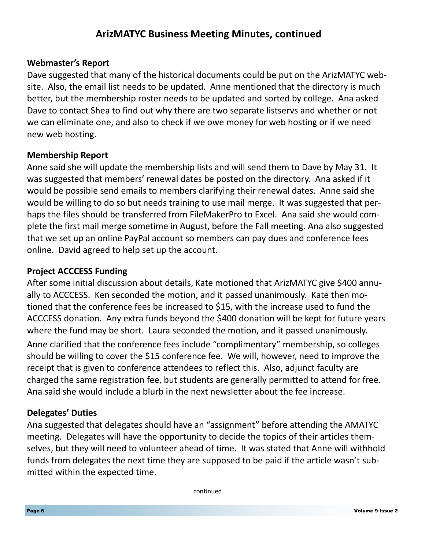## **ArizMATYC Business Meeting Minutes, continued**

#### **Webmaster's Report**

Dave suggested that many of the historical documents could be put on the ArizMATYC website. Also, the email list needs to be updated. Anne mentioned that the directory is much better, but the membership roster needs to be updated and sorted by college. Ana asked Dave to contact Shea to find out why there are two separate listservs and whether or not we can eliminate one, and also to check if we owe money for web hosting or if we need new web hosting.

#### **Membership Report**

Anne said she will update the membership lists and will send them to Dave by May 31. It was suggested that members' renewal dates be posted on the directory. Ana asked if it would be possible send emails to members clarifying their renewal dates. Anne said she would be willing to do so but needs training to use mail merge. It was suggested that perhaps the files should be transferred from FileMakerPro to Excel. Ana said she would complete the first mail merge sometime in August, before the Fall meeting. Ana also suggested that we set up an online PayPal account so members can pay dues and conference fees online. David agreed to help set up the account.

#### **Project ACCCESS Funding**

After some initial discussion about details, Kate motioned that ArizMATYC give \$400 annually to ACCCESS. Ken seconded the motion, and it passed unanimously. Kate then motioned that the conference fees be increased to \$15, with the increase used to fund the ACCCESS donation. Any extra funds beyond the \$400 donation will be kept for future years where the fund may be short. Laura seconded the motion, and it passed unanimously. Anne clarified that the conference fees include "complimentary" membership, so colleges should be willing to cover the \$15 conference fee. We will, however, need to improve the receipt that is given to conference attendees to reflect this. Also, adjunct faculty are charged the same registration fee, but students are generally permitted to attend for free. Ana said she would include a blurb in the next newsletter about the fee increase.

#### **Delegates' Duties**

Ana suggested that delegates should have an "assignment" before attending the AMATYC meeting. Delegates will have the opportunity to decide the topics of their articles themselves, but they will need to volunteer ahead of time. It was stated that Anne will withhold funds from delegates the next time they are supposed to be paid if the article wasn't submitted within the expected time.

continued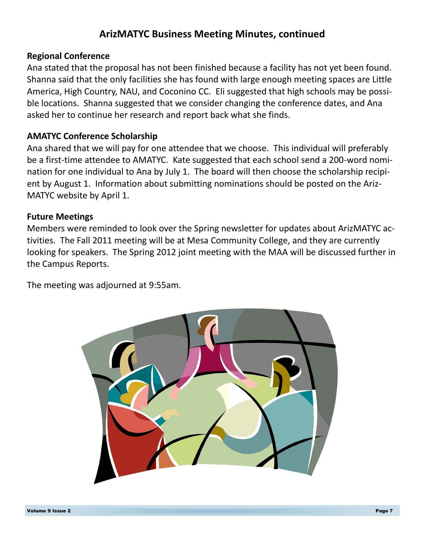# **ArizMATYC Business Meeting Minutes, continued**

#### **Regional Conference**

Ana stated that the proposal has not been finished because a facility has not yet been found. Shanna said that the only facilities she has found with large enough meeting spaces are Little America, High Country, NAU, and Coconino CC. Eli suggested that high schools may be possible locations. Shanna suggested that we consider changing the conference dates, and Ana asked her to continue her research and report back what she finds.

#### **AMATYC Conference Scholarship**

Ana shared that we will pay for one attendee that we choose. This individual will preferably be a first-time attendee to AMATYC. Kate suggested that each school send a 200-word nomination for one individual to Ana by July 1. The board will then choose the scholarship recipient by August 1. Information about submitting nominations should be posted on the Ariz-MATYC website by April 1.

#### **Future Meetings**

Members were reminded to look over the Spring newsletter for updates about ArizMATYC activities. The Fall 2011 meeting will be at Mesa Community College, and they are currently looking for speakers. The Spring 2012 joint meeting with the MAA will be discussed further in the Campus Reports.

The meeting was adjourned at 9:55am.